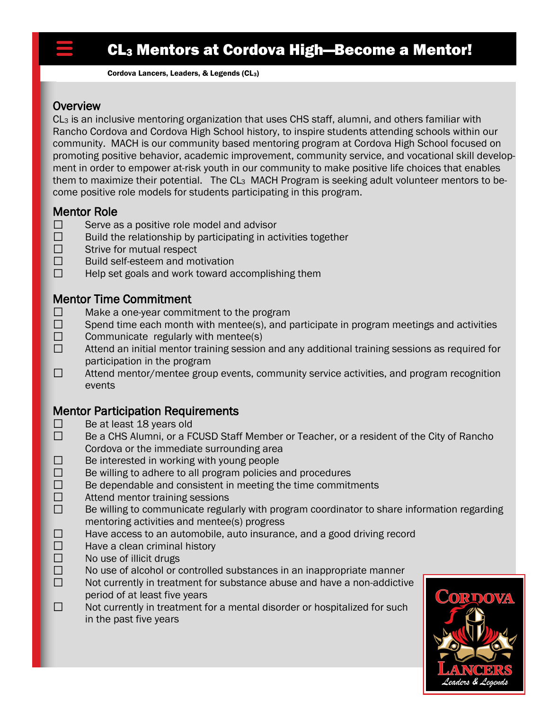# CL<sup>3</sup> Mentors at Cordova High—Become a Mentor!

Cordova Lancers, Leaders, & Legends (CL3)

### **Overview**

 $CL<sub>3</sub>$  is an inclusive mentoring organization that uses CHS staff, alumni, and others familiar with Rancho Cordova and Cordova High School history, to inspire students attending schools within our community. MACH is our community based mentoring program at Cordova High School focused on promoting positive behavior, academic improvement, community service, and vocational skill development in order to empower at-risk youth in our community to make positive life choices that enables them to maximize their potential. The CL<sub>3</sub> MACH Program is seeking adult volunteer mentors to become positive role models for students participating in this program. Ì

# Mentor Role

- П Serve as a positive role model and advisor
- $\Box$ Build the relationship by participating in activities together
- $\Box$ Strive for mutual respect
- $\Box$ Build self-esteem and motivation
- $\Box$ Help set goals and work toward accomplishing them

# Mentor Time Commitment

- Make a one-year commitment to the program □
- $\Box$ Spend time each month with mentee(s), and participate in program meetings and activities
- $\Box$ Communicate regularly with mentee(s)
- $\Box$ Attend an initial mentor training session and any additional training sessions as required for participation in the program
- $\Box$ Attend mentor/mentee group events, community service activities, and program recognition events

# Mentor Participation Requirements

- □ Be at least 18 years old
- $\Box$ Be a CHS Alumni, or a FCUSD Staff Member or Teacher, or a resident of the City of Rancho Cordova or the immediate surrounding area
- Be interested in working with young people □
- $\Box$ Be willing to adhere to all program policies and procedures
- $\Box$ Be dependable and consistent in meeting the time commitments
- $\Box$ Attend mentor training sessions
- $\Box$ Be willing to communicate regularly with program coordinator to share information regarding mentoring activities and mentee(s) progress
- $\Box$ Have access to an automobile, auto insurance, and a good driving record
- $\Box$ Have a clean criminal history
- $\Box$ No use of illicit drugs
- $\Box$ No use of alcohol or controlled substances in an inappropriate manner
- $\Box$ Not currently in treatment for substance abuse and have a non-addictive period of at least five years
- $\Box$ Not currently in treatment for a mental disorder or hospitalized for such in the past five years

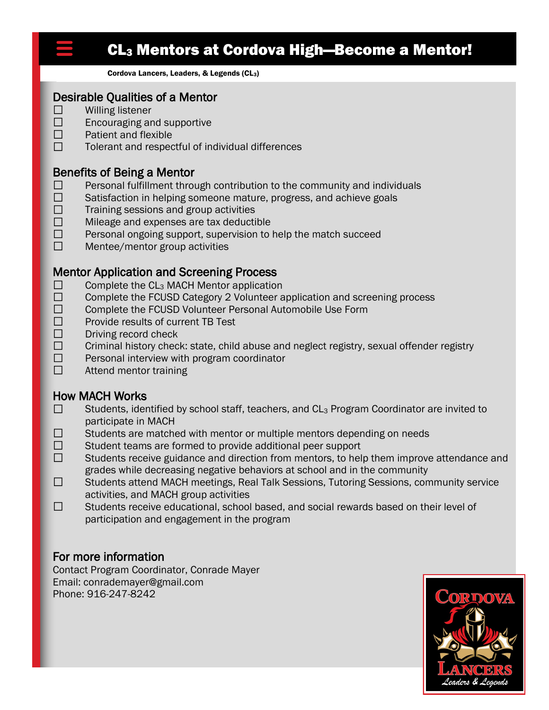

 $\Box$ 

# CL<sup>3</sup> Mentors at Cordova High—Become a Mentor!

Cordova Lancers, Leaders, & Legends (CL3)

### Desirable Qualities of a Mentor

- Willing listener
- $\Box$ Encouraging and supportive
- $\Box$ Patient and flexible
- $\Box$ Tolerant and respectful of individual differences

## Benefits of Being a Mentor

- $\Box$ Personal fulfillment through contribution to the community and individuals
- $\Box$ Satisfaction in helping someone mature, progress, and achieve goals
- $\Box$ Training sessions and group activities
- $\Box$ Mileage and expenses are tax deductible
- $\Box$ Personal ongoing support, supervision to help the match succeed
- $\Box$ Mentee/mentor group activities

## Mentor Application and Screening Process

- $\Box$ Complete the CL<sup>3</sup> MACH Mentor application
- $\Box$ Complete the FCUSD Category 2 Volunteer application and screening process
- $\Box$ Complete the FCUSD Volunteer Personal Automobile Use Form
- $\Box$ Provide results of current TB Test
- $\Box$ Driving record check
- $\Box$ Criminal history check: state, child abuse and neglect registry, sexual offender registry
- $\Box$ Personal interview with program coordinator
- $\Box$ Attend mentor training

### How MACH Works

- Students, identified by school staff, teachers, and CL<sub>3</sub> Program Coordinator are invited to  $\Box$ participate in MACH
- $\Box$ Students are matched with mentor or multiple mentors depending on needs
- $\Box$ Student teams are formed to provide additional peer support
- $\Box$ Students receive guidance and direction from mentors, to help them improve attendance and grades while decreasing negative behaviors at school and in the community
- $\Box$ Students attend MACH meetings, Real Talk Sessions, Tutoring Sessions, community service activities, and MACH group activities
- $\Box$ Students receive educational, school based, and social rewards based on their level of participation and engagement in the program

# For more information

Contact Program Coordinator, Conrade Mayer Email: conrademayer@gmail.com Phone: 916-247-8242

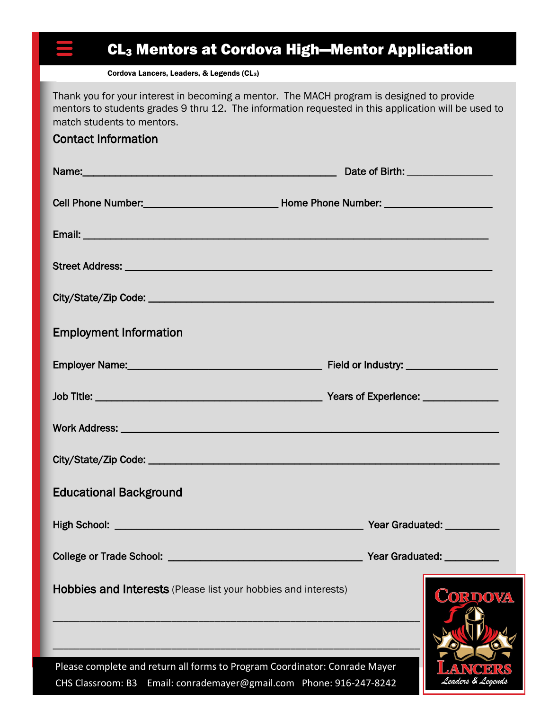# CL<sup>3</sup> Mentors at Cordova High—Mentor Application

Cordova Lancers, Leaders, & Legends (CL3)

Thank you for your interest in becoming a mentor. The MACH program is designed to provide mentors to students grades 9 thru 12. The information requested in this application will be used to match students to mentors.

## Contact Information

|                                                                                                                                                   | Date of Birth: __________________ |  |
|---------------------------------------------------------------------------------------------------------------------------------------------------|-----------------------------------|--|
|                                                                                                                                                   |                                   |  |
|                                                                                                                                                   |                                   |  |
|                                                                                                                                                   |                                   |  |
|                                                                                                                                                   |                                   |  |
| <b>Employment Information</b>                                                                                                                     |                                   |  |
|                                                                                                                                                   |                                   |  |
|                                                                                                                                                   |                                   |  |
|                                                                                                                                                   |                                   |  |
|                                                                                                                                                   |                                   |  |
| <b>Educational Background</b>                                                                                                                     |                                   |  |
|                                                                                                                                                   |                                   |  |
| <b>College or Trade School:</b>                                                                                                                   | <b>Year Graduated:</b>            |  |
| Hobbies and Interests (Please list your hobbies and interests)                                                                                    | CORDOV                            |  |
| Please complete and return all forms to Program Coordinator: Conrade Mayer<br>CHS Classroom: B3 Email: conrademayer@gmail.com Phone: 916-247-8242 | Y) 51 54                          |  |

CHS Classroom: B3 Email: conrademayer@gmail.com Phone: 916-247-8242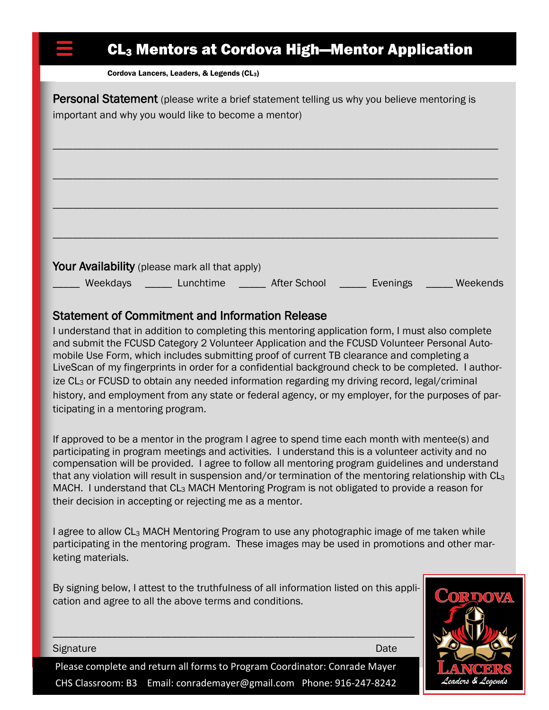# CL<sup>3</sup> Mentors at Cordova High—Mentor Application

Cordova Lancers, Leaders, & Legends (CL3)

**Personal Statement** (please write a brief statement telling us why you believe mentoring is important and why you would like to become a mentor)

|          | Your Availability (please mark all that apply) |                     |          |          |
|----------|------------------------------------------------|---------------------|----------|----------|
| Weekdays | Lunchtime                                      | <b>After School</b> | Evenings | Weekends |

\_\_\_\_\_\_\_\_\_\_\_\_\_\_\_\_\_\_\_\_\_\_\_\_\_\_\_\_\_\_\_\_\_\_\_\_\_\_\_\_\_\_\_\_\_\_\_\_\_\_\_\_\_\_\_\_\_\_\_\_\_\_\_\_\_\_\_\_\_\_\_\_\_\_\_\_\_\_\_\_\_\_\_\_\_\_\_\_\_\_

## Statement of Commitment and Information Release

I understand that in addition to completing this mentoring application form, I must also complete and submit the FCUSD Category 2 Volunteer Application and the FCUSD Volunteer Personal Automobile Use Form, which includes submitting proof of current TB clearance and completing a LiveScan of my fingerprints in order for a confidential background check to be completed. I authorize CL<sub>3</sub> or FCUSD to obtain any needed information regarding my driving record, legal/criminal history, and employment from any state or federal agency, or my employer, for the purposes of participating in a mentoring program.

If approved to be a mentor in the program I agree to spend time each month with mentee(s) and participating in program meetings and activities. I understand this is a volunteer activity and no compensation will be provided. I agree to follow all mentoring program guidelines and understand that any violation will result in suspension and/or termination of the mentoring relationship with CL<sub>3</sub> MACH. I understand that CL<sub>3</sub> MACH Mentoring Program is not obligated to provide a reason for their decision in accepting or rejecting me as a mentor.

I agree to allow CL<sup>3</sup> MACH Mentoring Program to use any photographic image of me taken while participating in the mentoring program. These images may be used in promotions and other marketing materials.

By signing below, I attest to the truthfulness of all information listed on this application and agree to all the above terms and conditions.

\_\_\_\_\_\_\_\_\_\_\_\_\_\_\_\_\_\_\_\_\_\_\_\_\_\_\_\_\_\_\_\_\_\_\_\_\_\_\_\_\_\_\_\_\_\_\_\_\_\_\_\_\_\_\_\_\_\_\_\_\_\_\_\_\_\_\_



Signature Date Date of the Contract of the Contract of the Contract of the Date Date

Please complete and return all forms to Program Coordinator: Conrade Mayer CHS Classroom: B3 Email: conrademayer@gmail.com Phone: 916-247-8242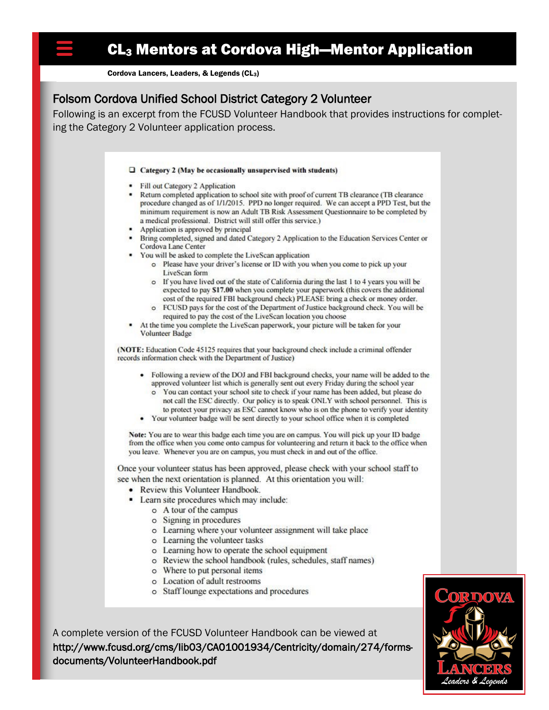Cordova Lancers, Leaders, & Legends (CL<sub>3</sub>)

# Folsom Cordova Unified School District Category 2 Volunteer

Following is an excerpt from the FCUSD Volunteer Handbook that provides instructions for completing the Category 2 Volunteer application process.

#### $\Box$  Category 2 (May be occasionally unsupervised with students)

- Fill out Category 2 Application
- Return completed application to school site with proof of current TB clearance (TB clearance procedure changed as of 1/1/2015. PPD no longer required. We can accept a PPD Test, but the minimum requirement is now an Adult TB Risk Assessment Questionnaire to be completed by a medical professional. District will still offer this service.)
- Application is approved by principal
- Bring completed, signed and dated Category 2 Application to the Education Services Center or Cordova Lane Center
- You will be asked to complete the LiveScan application
	- o Please have your driver's license or ID with you when you come to pick up your LiveScan form
	- o If you have lived out of the state of California during the last 1 to 4 years you will be expected to pay \$17.00 when you complete your paperwork (this covers the additional cost of the required FBI background check) PLEASE bring a check or money order.
	- o FCUSD pays for the cost of the Department of Justice background check. You will be required to pay the cost of the LiveScan location you choose
- At the time you complete the LiveScan paperwork, your picture will be taken for your Volunteer Badge

(NOTE: Education Code 45125 requires that your background check include a criminal offender records information check with the Department of Justice)

- · Following a review of the DOJ and FBI background checks, your name will be added to the approved volunteer list which is generally sent out every Friday during the school year
	- o You can contact your school site to check if your name has been added, but please do not call the ESC directly. Our policy is to speak ONLY with school personnel. This is to protect your privacy as ESC cannot know who is on the phone to verify your identity
- Your volunteer badge will be sent directly to your school office when it is completed

Note: You are to wear this badge each time you are on campus. You will pick up your ID badge from the office when you come onto campus for volunteering and return it back to the office when you leave. Whenever you are on campus, you must check in and out of the office.

Once your volunteer status has been approved, please check with your school staff to see when the next orientation is planned. At this orientation you will:

- Review this Volunteer Handbook.
- Learn site procedures which may include:
	- o A tour of the campus
		- o Signing in procedures
	- o Learning where your volunteer assignment will take place
	- o Learning the volunteer tasks
	- o Learning how to operate the school equipment
	- o Review the school handbook (rules, schedules, staff names)
	- o Where to put personal items
	- o Location of adult restrooms
	- o Staff lounge expectations and procedures

A complete version of the FCUSD Volunteer Handbook can be viewed at http://www.fcusd.org/cms/lib03/CA01001934/Centricity/domain/274/formsdocuments/VolunteerHandbook.pdf

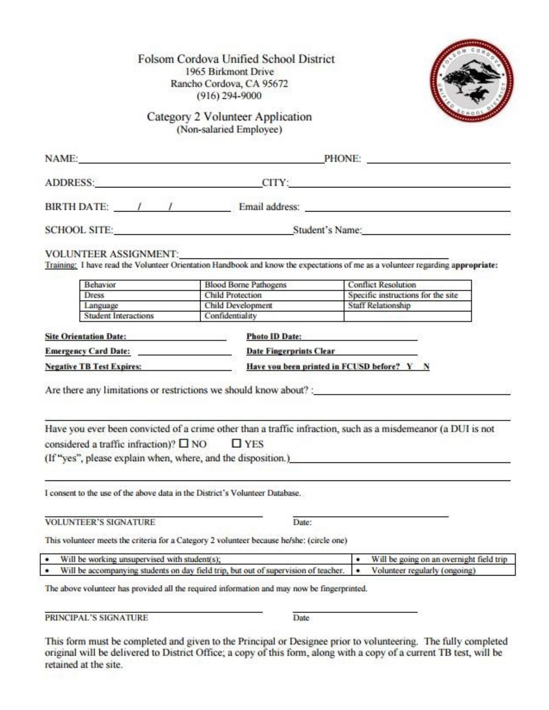Folsom Cordova Unified School District 1965 Birkmont Drive Rancho Cordova, CA 95672  $(916)$  294-9000

Category 2 Volunteer Application (Non-salaried Employee)

|                                                                                                                                                                                                                                                                                                                                         | NAME: PHONE: PHONE:                                                                                                                                                                             |                                               |  |
|-----------------------------------------------------------------------------------------------------------------------------------------------------------------------------------------------------------------------------------------------------------------------------------------------------------------------------------------|-------------------------------------------------------------------------------------------------------------------------------------------------------------------------------------------------|-----------------------------------------------|--|
|                                                                                                                                                                                                                                                                                                                                         | ADDRESS: CITY: CITY:                                                                                                                                                                            |                                               |  |
|                                                                                                                                                                                                                                                                                                                                         |                                                                                                                                                                                                 |                                               |  |
|                                                                                                                                                                                                                                                                                                                                         | SCHOOL SITE: Student's Name:                                                                                                                                                                    |                                               |  |
| VOLUNTEER ASSIGNMENT:                                                                                                                                                                                                                                                                                                                   | Training: I have read the Volunteer Orientation Handbook and know the expectations of me as a volunteer regarding appropriate:                                                                  |                                               |  |
| Behavior                                                                                                                                                                                                                                                                                                                                | <b>Blood Borne Pathogens</b>                                                                                                                                                                    | <b>Conflict Resolution</b>                    |  |
| <b>Dress</b>                                                                                                                                                                                                                                                                                                                            | <b>Child Protection</b>                                                                                                                                                                         | Specific instructions for the site            |  |
| Language                                                                                                                                                                                                                                                                                                                                | Child Development                                                                                                                                                                               | <b>Staff Relationship</b>                     |  |
| <b>Student Interactions</b>                                                                                                                                                                                                                                                                                                             | Confidentiality                                                                                                                                                                                 |                                               |  |
|                                                                                                                                                                                                                                                                                                                                         |                                                                                                                                                                                                 |                                               |  |
|                                                                                                                                                                                                                                                                                                                                         | <b>Photo ID Date:</b>                                                                                                                                                                           |                                               |  |
|                                                                                                                                                                                                                                                                                                                                         | Emergency Card Date: Date Fingerprints Clear                                                                                                                                                    |                                               |  |
|                                                                                                                                                                                                                                                                                                                                         | Have you been printed in FCUSD before? Y N                                                                                                                                                      |                                               |  |
|                                                                                                                                                                                                                                                                                                                                         | Are there any limitations or restrictions we should know about? :<br>Have you ever been convicted of a crime other than a traffic infraction, such as a misdemeanor (a DUI is not<br>$\Box$ YES |                                               |  |
| Site Orientation Date: The Contract of the Contract of the Contract of the Contract of the Contract of the Contract of the Contract of the Contract of the Contract of the Contract of the Contract of the Contract of the Con<br>Negative TB Test Expires: Negative TB Test Expires:<br>considered a traffic infraction)? $\square$ NO | (If "yes", please explain when, where, and the disposition.)                                                                                                                                    |                                               |  |
|                                                                                                                                                                                                                                                                                                                                         | I consent to the use of the above data in the District's Volunteer Database.                                                                                                                    |                                               |  |
|                                                                                                                                                                                                                                                                                                                                         | Date:                                                                                                                                                                                           |                                               |  |
| <b>VOLUNTEER'S SIGNATURE</b>                                                                                                                                                                                                                                                                                                            | This volunteer meets the criteria for a Category 2 volunteer because he/she: (circle one)                                                                                                       |                                               |  |
| Will be working unsupervised with student(s);<br>٠                                                                                                                                                                                                                                                                                      |                                                                                                                                                                                                 | ٠<br>Will be going on an overnight field trip |  |

PRINCIPAL'S SIGNATURE

Date

This form must be completed and given to the Principal or Designee prior to volunteering. The fully completed original will be delivered to District Office; a copy of this form, along with a copy of a current TB test, will be retained at the site.